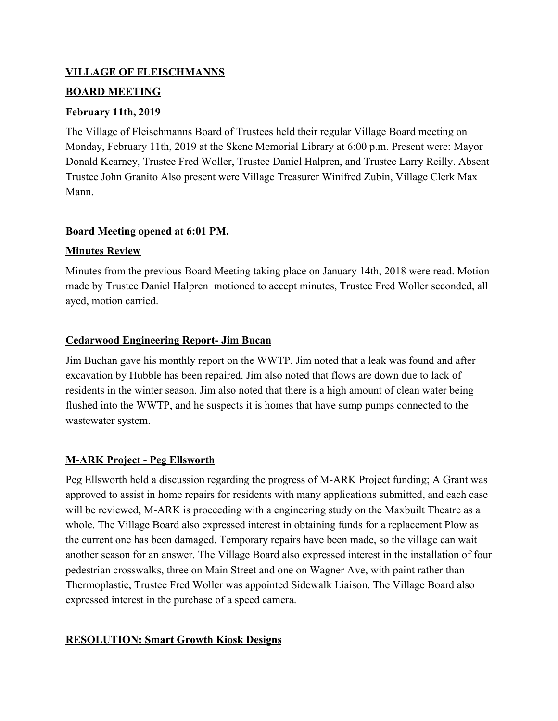### **VILLAGE OF FLEISCHMANNS**

### **BOARD MEETING**

## **February 11th, 2019**

The Village of Fleischmanns Board of Trustees held their regular Village Board meeting on Monday, February 11th, 2019 at the Skene Memorial Library at 6:00 p.m. Present were: Mayor Donald Kearney, Trustee Fred Woller, Trustee Daniel Halpren, and Trustee Larry Reilly. Absent Trustee John Granito Also present were Village Treasurer Winifred Zubin, Village Clerk Max Mann.

## **Board Meeting opened at 6:01 PM.**

## **Minutes Review**

Minutes from the previous Board Meeting taking place on January 14th, 2018 were read. Motion made by Trustee Daniel Halpren motioned to accept minutes, Trustee Fred Woller seconded, all ayed, motion carried.

## **Cedarwood Engineering Report- Jim Bucan**

Jim Buchan gave his monthly report on the WWTP. Jim noted that a leak was found and after excavation by Hubble has been repaired. Jim also noted that flows are down due to lack of residents in the winter season. Jim also noted that there is a high amount of clean water being flushed into the WWTP, and he suspects it is homes that have sump pumps connected to the wastewater system.

## **M-ARK Project - Peg Ellsworth**

Peg Ellsworth held a discussion regarding the progress of M-ARK Project funding; A Grant was approved to assist in home repairs for residents with many applications submitted, and each case will be reviewed, M-ARK is proceeding with a engineering study on the Maxbuilt Theatre as a whole. The Village Board also expressed interest in obtaining funds for a replacement Plow as the current one has been damaged. Temporary repairs have been made, so the village can wait another season for an answer. The Village Board also expressed interest in the installation of four pedestrian crosswalks, three on Main Street and one on Wagner Ave, with paint rather than Thermoplastic, Trustee Fred Woller was appointed Sidewalk Liaison. The Village Board also expressed interest in the purchase of a speed camera.

## **RESOLUTION: Smart Growth Kiosk Designs**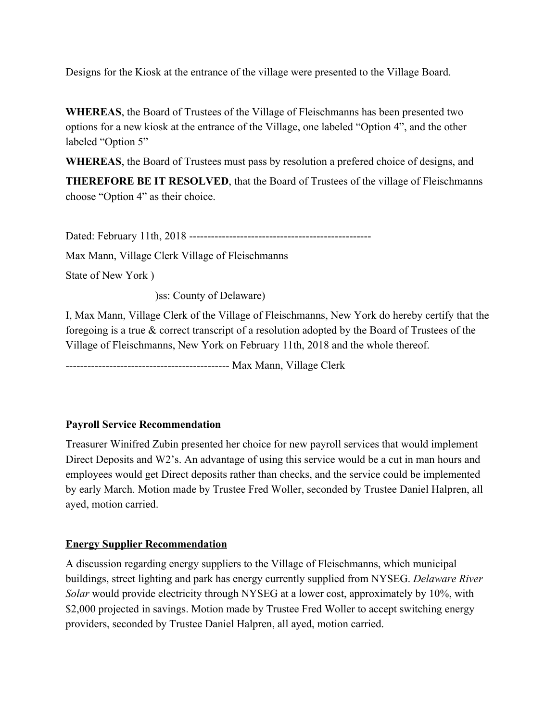Designs for the Kiosk at the entrance of the village were presented to the Village Board.

**WHEREAS**, the Board of Trustees of the Village of Fleischmanns has been presented two options for a new kiosk at the entrance of the Village, one labeled "Option 4", and the other labeled "Option 5"

**WHEREAS**, the Board of Trustees must pass by resolution a prefered choice of designs, and

**THEREFORE BE IT RESOLVED**, that the Board of Trustees of the village of Fleischmanns choose "Option 4" as their choice.

Dated: February 11th, 2018 --------------------------------------------------

Max Mann, Village Clerk Village of Fleischmanns

State of New York )

)ss: County of Delaware)

I, Max Mann, Village Clerk of the Village of Fleischmanns, New York do hereby certify that the foregoing is a true & correct transcript of a resolution adopted by the Board of Trustees of the Village of Fleischmanns, New York on February 11th, 2018 and the whole thereof.

--------------------------------------------- Max Mann, Village Clerk

## **Payroll Service Recommendation**

Treasurer Winifred Zubin presented her choice for new payroll services that would implement Direct Deposits and W2's. An advantage of using this service would be a cut in man hours and employees would get Direct deposits rather than checks, and the service could be implemented by early March. Motion made by Trustee Fred Woller, seconded by Trustee Daniel Halpren, all ayed, motion carried.

### **Energy Supplier Recommendation**

A discussion regarding energy suppliers to the Village of Fleischmanns, which municipal buildings, street lighting and park has energy currently supplied from NYSEG. *Delaware River Solar* would provide electricity through NYSEG at a lower cost, approximately by 10%, with \$2,000 projected in savings. Motion made by Trustee Fred Woller to accept switching energy providers, seconded by Trustee Daniel Halpren, all ayed, motion carried.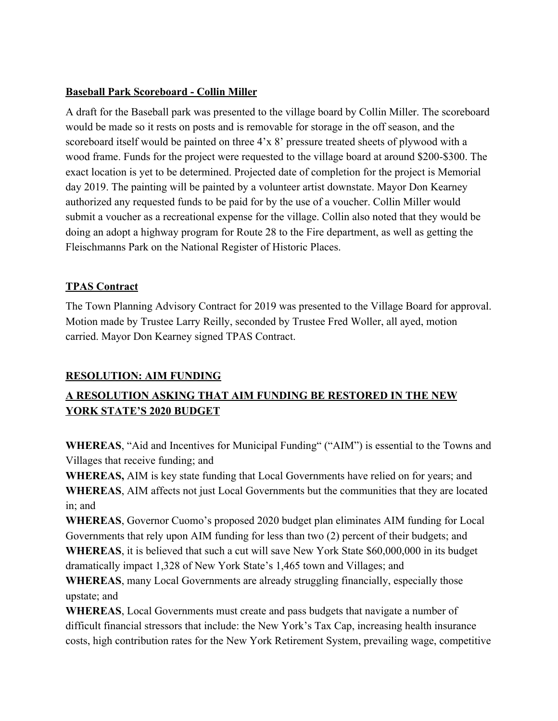## **Baseball Park Scoreboard - Collin Miller**

A draft for the Baseball park was presented to the village board by Collin Miller. The scoreboard would be made so it rests on posts and is removable for storage in the off season, and the scoreboard itself would be painted on three 4'x 8' pressure treated sheets of plywood with a wood frame. Funds for the project were requested to the village board at around \$200-\$300. The exact location is yet to be determined. Projected date of completion for the project is Memorial day 2019. The painting will be painted by a volunteer artist downstate. Mayor Don Kearney authorized any requested funds to be paid for by the use of a voucher. Collin Miller would submit a voucher as a recreational expense for the village. Collin also noted that they would be doing an adopt a highway program for Route 28 to the Fire department, as well as getting the Fleischmanns Park on the National Register of Historic Places.

## **TPAS Contract**

The Town Planning Advisory Contract for 2019 was presented to the Village Board for approval. Motion made by Trustee Larry Reilly, seconded by Trustee Fred Woller, all ayed, motion carried. Mayor Don Kearney signed TPAS Contract.

## **RESOLUTION: AIM FUNDING**

# **A RESOLUTION ASKING THAT AIM FUNDING BE RESTORED IN THE NEW YORK STATE'S 2020 BUDGET**

**WHEREAS**, "Aid and Incentives for Municipal Funding" ("AIM") is essential to the Towns and Villages that receive funding; and

**WHEREAS,** AIM is key state funding that Local Governments have relied on for years; and **WHEREAS**, AIM affects not just Local Governments but the communities that they are located in; and

**WHEREAS**, Governor Cuomo's proposed 2020 budget plan eliminates AIM funding for Local Governments that rely upon AIM funding for less than two (2) percent of their budgets; and **WHEREAS**, it is believed that such a cut will save New York State \$60,000,000 in its budget

dramatically impact 1,328 of New York State's 1,465 town and Villages; and

**WHEREAS**, many Local Governments are already struggling financially, especially those upstate; and

**WHEREAS**, Local Governments must create and pass budgets that navigate a number of difficult financial stressors that include: the New York's Tax Cap, increasing health insurance costs, high contribution rates for the New York Retirement System, prevailing wage, competitive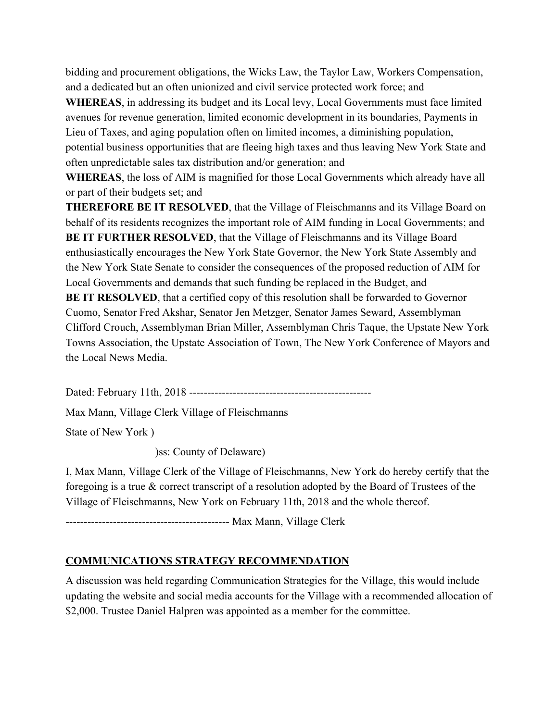bidding and procurement obligations, the Wicks Law, the Taylor Law, Workers Compensation, and a dedicated but an often unionized and civil service protected work force; and

**WHEREAS**, in addressing its budget and its Local levy, Local Governments must face limited avenues for revenue generation, limited economic development in its boundaries, Payments in Lieu of Taxes, and aging population often on limited incomes, a diminishing population, potential business opportunities that are fleeing high taxes and thus leaving New York State and often unpredictable sales tax distribution and/or generation; and

**WHEREAS**, the loss of AIM is magnified for those Local Governments which already have all or part of their budgets set; and

**THEREFORE BE IT RESOLVED**, that the Village of Fleischmanns and its Village Board on behalf of its residents recognizes the important role of AIM funding in Local Governments; and **BE IT FURTHER RESOLVED**, that the Village of Fleischmanns and its Village Board enthusiastically encourages the New York State Governor, the New York State Assembly and the New York State Senate to consider the consequences of the proposed reduction of AIM for Local Governments and demands that such funding be replaced in the Budget, and **BE IT RESOLVED**, that a certified copy of this resolution shall be forwarded to Governor

Cuomo, Senator Fred Akshar, Senator Jen Metzger, Senator James Seward, Assemblyman Clifford Crouch, Assemblyman Brian Miller, Assemblyman Chris Taque, the Upstate New York Towns Association, the Upstate Association of Town, The New York Conference of Mayors and the Local News Media.

Dated: February 11th, 2018 --------------------------------------------------

Max Mann, Village Clerk Village of Fleischmanns

State of New York )

)ss: County of Delaware)

I, Max Mann, Village Clerk of the Village of Fleischmanns, New York do hereby certify that the foregoing is a true & correct transcript of a resolution adopted by the Board of Trustees of the Village of Fleischmanns, New York on February 11th, 2018 and the whole thereof.

--------------------------------------------- Max Mann, Village Clerk

## **COMMUNICATIONS STRATEGY RECOMMENDATION**

A discussion was held regarding Communication Strategies for the Village, this would include updating the website and social media accounts for the Village with a recommended allocation of \$2,000. Trustee Daniel Halpren was appointed as a member for the committee.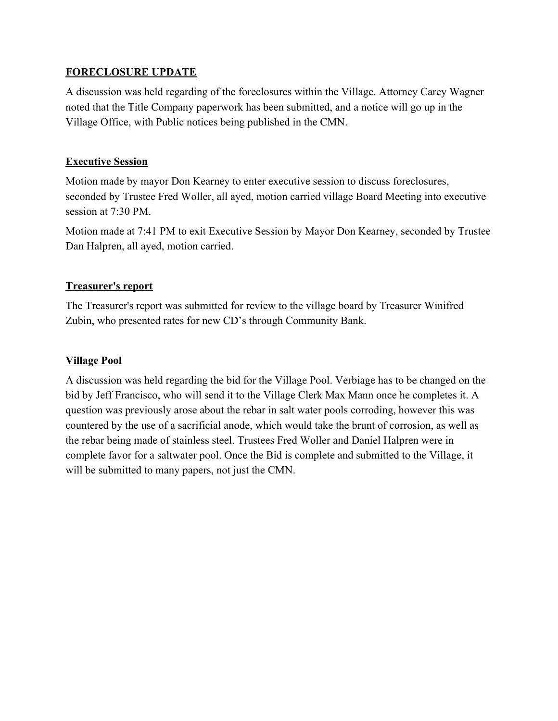### **FORECLOSURE UPDATE**

A discussion was held regarding of the foreclosures within the Village. Attorney Carey Wagner noted that the Title Company paperwork has been submitted, and a notice will go up in the Village Office, with Public notices being published in the CMN.

#### **Executive Session**

Motion made by mayor Don Kearney to enter executive session to discuss foreclosures, seconded by Trustee Fred Woller, all ayed, motion carried village Board Meeting into executive session at 7:30 PM.

Motion made at 7:41 PM to exit Executive Session by Mayor Don Kearney, seconded by Trustee Dan Halpren, all ayed, motion carried.

#### **Treasurer's report**

The Treasurer's report was submitted for review to the village board by Treasurer Winifred Zubin, who presented rates for new CD's through Community Bank.

### **Village Pool**

A discussion was held regarding the bid for the Village Pool. Verbiage has to be changed on the bid by Jeff Francisco, who will send it to the Village Clerk Max Mann once he completes it. A question was previously arose about the rebar in salt water pools corroding, however this was countered by the use of a sacrificial anode, which would take the brunt of corrosion, as well as the rebar being made of stainless steel. Trustees Fred Woller and Daniel Halpren were in complete favor for a saltwater pool. Once the Bid is complete and submitted to the Village, it will be submitted to many papers, not just the CMN.